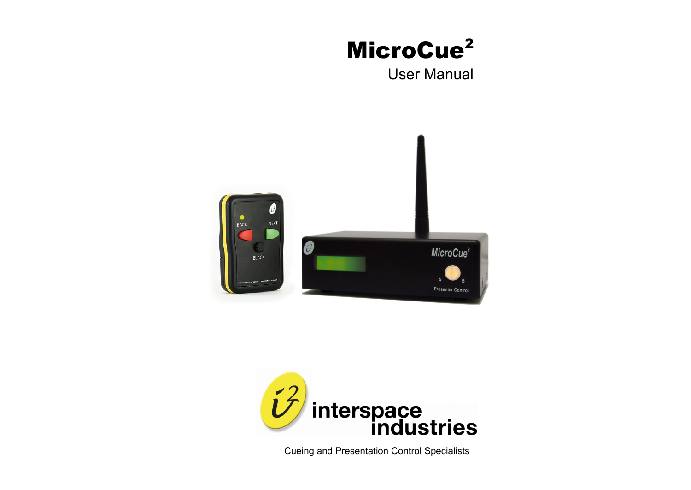# MicroCue<sup>2</sup>

User Manual





Cueing and Presentation Control Specialists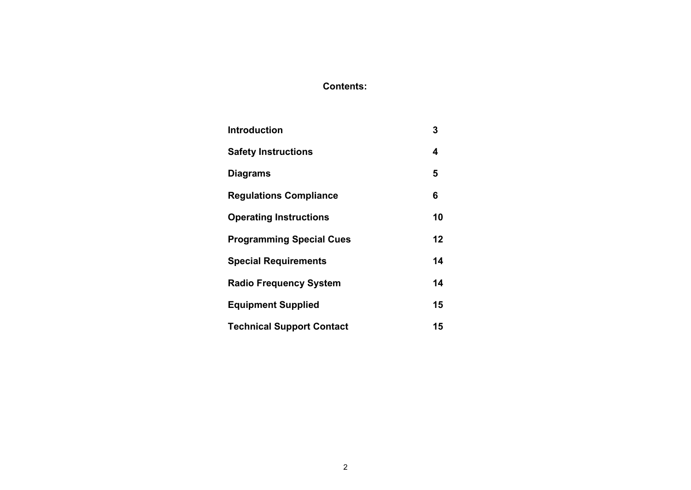# **Contents:**

| <b>Introduction</b>              | 3  |
|----------------------------------|----|
| <b>Safety Instructions</b>       | 4  |
| <b>Diagrams</b>                  | 5  |
| <b>Regulations Compliance</b>    | 6  |
| <b>Operating Instructions</b>    | 10 |
| <b>Programming Special Cues</b>  | 12 |
| <b>Special Requirements</b>      | 14 |
| <b>Radio Frequency System</b>    | 14 |
| <b>Equipment Supplied</b>        | 15 |
| <b>Technical Support Contact</b> | 15 |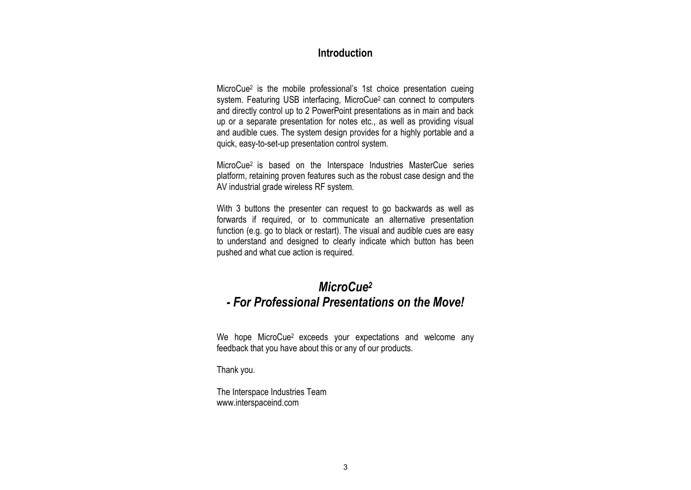## **Introduction**

MicroCue<sup>2</sup> is the mobile professional's 1st choice presentation cueing system. Featuring USB interfacing, MicroCue<sup>2</sup> can connect to computers and directly control up to 2 PowerPoint presentations as in main and back up or a separate presentation for notes etc., as well as providing visual and audible cues. The system design provides for a highly portable and a quick, easy-to-set-up presentation control system.

MicroCue2 is based on the Interspace Industries MasterCue series platform, retaining proven features such as the robust case design and the AV industrial grade wireless RF system.

With 3 buttons the presenter can request to go backwards as well as forwards if required, or to communicate an alternative presentation function (e.g. go to black or restart). The visual and audible cues are easy to understand and designed to clearly indicate which button has been pushed and what cue action is required.

# *MicroCue<sup>2</sup> - For Professional Presentations on the Move!*

We hope MicroCue2 exceeds your expectations and welcome any feedback that you have about this or any of our products.

Thank you.

The Interspace Industries Team www.interspaceind.com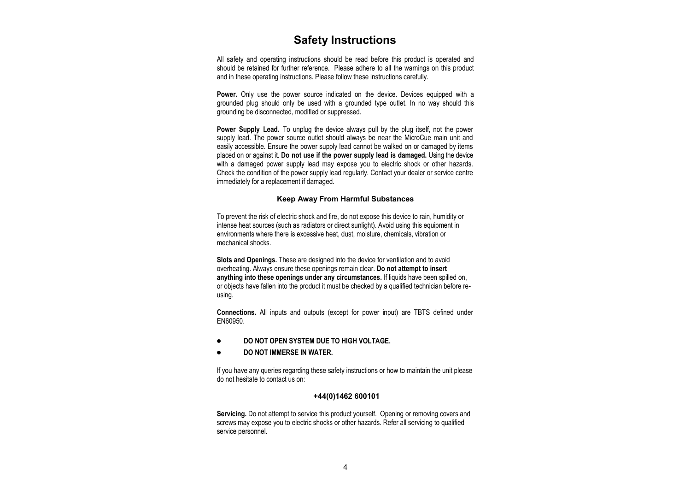#### **Safety Instructions**

All safety and operating instructions should be read before this product is operated and should be retained for further reference. Please adhere to all the warnings on this product and in these operating instructions. Please follow these instructions carefully.

**Power.** Only use the power source indicated on the device. Devices equipped with a grounded plug should only be used with a grounded type outlet. In no way should this grounding be disconnected, modified or suppressed.

**Power Supply Lead.** To unplug the device always pull by the plug itself, not the power supply lead. The power source outlet should always be near the MicroCue main unit and easily accessible. Ensure the power supply lead cannot be walked on or damaged by items placed on or against it. **Do not use if the power supply lead is damaged.** Using the device with a damaged power supply lead may expose you to electric shock or other hazards. Check the condition of the power supply lead regularly. Contact your dealer or service centre immediately for a replacement if damaged.

#### **Keep Away From Harmful Substances**

To prevent the risk of electric shock and fire, do not expose this device to rain, humidity or intense heat sources (such as radiators or direct sunlight). Avoid using this equipment in environments where there is excessive heat, dust, moisture, chemicals, vibration or mechanical shocks.

**Slots and Openings.** These are designed into the device for ventilation and to avoid overheating. Always ensure these openings remain clear. **Do not attempt to insert anything into these openings under any circumstances.** If liquids have been spilled on, or objects have fallen into the product it must be checked by a qualified technician before reusing.

**Connections.** All inputs and outputs (except for power input) are TBTS defined under EN60950.

- $\bullet$ **DO NOT OPEN SYSTEM DUE TO HIGH VOLTAGE.**
- **DO NOT IMMERSE IN WATER.**  $\bullet$

If you have any queries regarding these safety instructions or how to maintain the unit please do not hesitate to contact us on:

#### **+44(0)1462 600101**

**Servicing.** Do not attempt to service this product yourself. Opening or removing covers and screws may expose you to electric shocks or other hazards. Refer all servicing to qualified service personnel.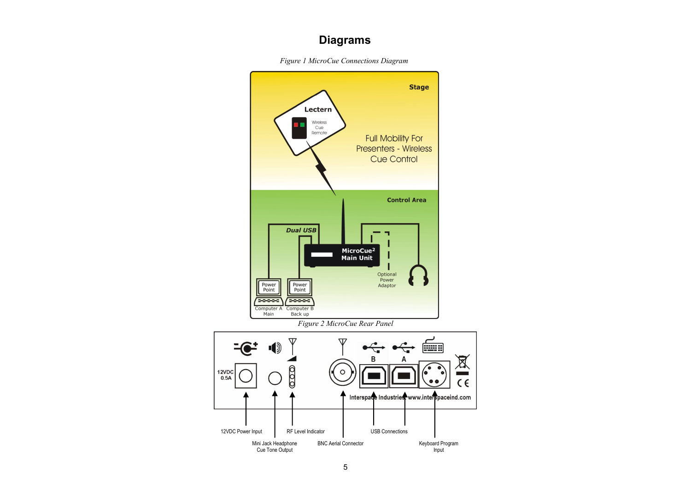# **Diagrams**

*Figure 1 MicroCue Connections Diagram*

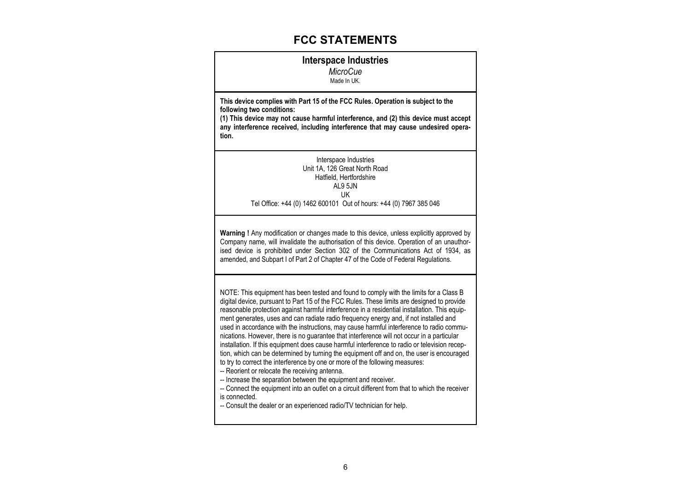### **FCC STATEMENTS**

#### **Interspace Industries**

*MicroCue* Made In UK.

**This device complies with Part 15 of the FCC Rules. Operation is subject to the following two conditions:**

**(1) This device may not cause harmful interference, and (2) this device must accept any interference received, including interference that may cause undesired operation.**

> Interspace Industries Unit 1A, 126 Great North Road Hatfield, Hertfordshire AL9 5JN UK Tel Office: +44 (0) 1462 600101 Out of hours: +44 (0) 7967 385 046

**Warning !** Any modification or changes made to this device, unless explicitly approved by Company name, will invalidate the authorisation of this device. Operation of an unauthorised device is prohibited under Section 302 of the Communications Act of 1934, as amended, and Subpart I of Part 2 of Chapter 47 of the Code of Federal Regulations.

NOTE: This equipment has been tested and found to comply with the limits for a Class B digital device, pursuant to Part 15 of the FCC Rules. These limits are designed to provide reasonable protection against harmful interference in a residential installation. This equipment generates, uses and can radiate radio frequency energy and, if not installed and used in accordance with the instructions, may cause harmful interference to radio communications. However, there is no guarantee that interference will not occur in a particular installation. If this equipment does cause harmful interference to radio or television reception, which can be determined by turning the equipment off and on, the user is encouraged to try to correct the interference by one or more of the following measures:

-- Reorient or relocate the receiving antenna.

-- Increase the separation between the equipment and receiver.

-- Connect the equipment into an outlet on a circuit different from that to which the receiver is connected.

-- Consult the dealer or an experienced radio/TV technician for help.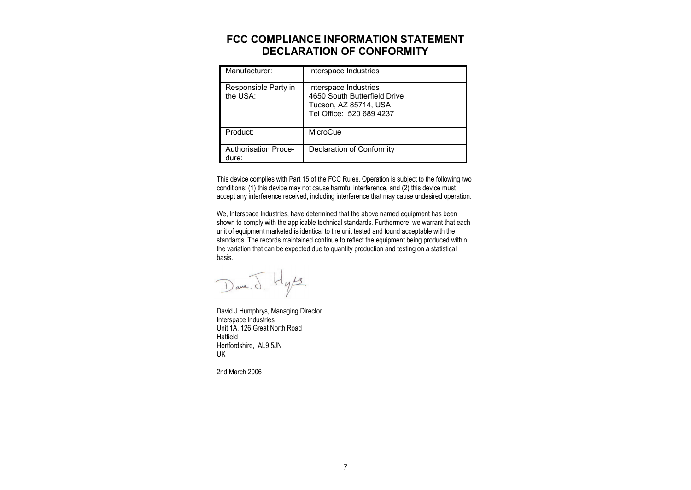### **FCC COMPLIANCE INFORMATION STATEMENT DECLARATION OF CONFORMITY**

| Manufacturer:                    | Interspace Industries                                                                                      |
|----------------------------------|------------------------------------------------------------------------------------------------------------|
| Responsible Party in<br>the USA: | Interspace Industries<br>4650 South Butterfield Drive<br>Tucson, AZ 85714, USA<br>Tel Office: 520 689 4237 |
| Product:                         | MicroCue                                                                                                   |
| Authorisation Proce-<br>dure:    | Declaration of Conformity                                                                                  |

This device complies with Part 15 of the FCC Rules. Operation is subject to the following two conditions: (1) this device may not cause harmful interference, and (2) this device must accept any interference received, including interference that may cause undesired operation.

We, Interspace Industries, have determined that the above named equipment has been shown to comply with the applicable technical standards. Furthermore, we warrant that each unit of equipment marketed is identical to the unit tested and found acceptable with the standards. The records maintained continue to reflect the equipment being produced within the variation that can be expected due to quantity production and testing on a statistical basis.

Dane. J. Hyss.

David J Humphrys, Managing Director Interspace Industries Unit 1A, 126 Great North Road **Hatfield** Hertfordshire, AL9 5JN UK

2nd March 2006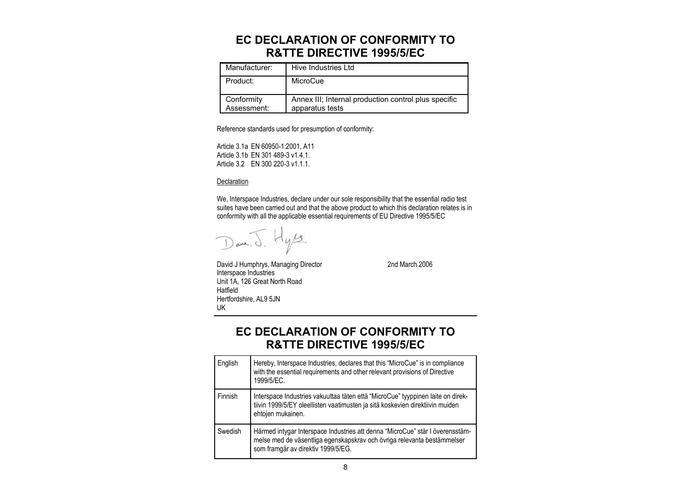# **EC DECLARATION OF CONFORMITY TO R&TTE DIRECTIVE 1995/5/EC**

| Manufacturer:             | Hive Industries Ltd                                                     |
|---------------------------|-------------------------------------------------------------------------|
| Product:                  | MicroCue                                                                |
| Conformity<br>Assessment: | Annex III; Internal production control plus specific<br>apparatus tests |

Reference standards used for presumption of conformity:

Article 3.1a EN 60950-1:2001, A11 Article 3.1b EN 301 489-3 v1.4.1. Article 3.2 EN 300 220-3 v1.1.1.

#### **Declaration**

We, Interspace Industries, declare under our sole responsibility that the essential radio test suites have been carried out and that the above product to which this declaration relates is in conformity with all the applicable essential requirements of EU Directive 1995/5/EC

 $H_{\psi/3}$  $\bigcup \text{ave. } \bigcirc$ 

Interspace Industries

David J Humphrys, Managing Director 2nd March 2006

#### Unit 1A, 126 Great North Road Hatfield Hertfordshire, AL9 5JN UK

**EC DECLARATION OF CONFORMITY TO R&TTE DIRECTIVE 1995/5/EC**

| English | Hereby, Interspace Industries, declares that this "MicroCue" is in compliance<br>with the essential requirements and other relevant provisions of Directive<br>1999/5/EC.                      |
|---------|------------------------------------------------------------------------------------------------------------------------------------------------------------------------------------------------|
| Finnish | Interspace Industries vakuuttaa täten että "MicroCue" tyyppinen laite on direk-<br>tiivin 1999/5/EY oleellisten vaatimusten ja sitä koskevien direktiivin muiden<br>ehtojen mukainen.          |
| Swedish | Härmed intygar Interspace Industries att denna "MicroCue" står I överensstäm-<br>melse med de väsentliga egenskapskrav och övriga relevanta bestämmelser<br>som framgår av direktiv 1999/5/EG. |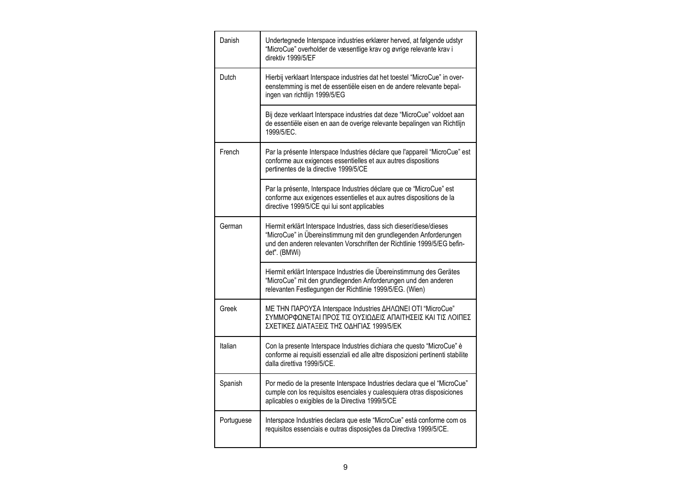| Danish     | Undertegnede Interspace industries erklærer herved, at følgende udstyr<br>"MicroCue" overholder de væsentlige krav og øvrige relevante krav i<br>direktiv 1999/5/EF                                                                  |
|------------|--------------------------------------------------------------------------------------------------------------------------------------------------------------------------------------------------------------------------------------|
| Dutch      | Hierbij verklaart Interspace industries dat het toestel "MicroCue" in over-<br>eenstemming is met de essentiële eisen en de andere relevante bepal-<br>ingen van richtlijn 1999/5/EG                                                 |
|            | Bij deze verklaart Interspace industries dat deze "MicroCue" voldoet aan<br>de essentiële eisen en aan de overige relevante bepalingen van Richtlijn<br>1999/5/EC.                                                                   |
| French     | Par la présente Interspace Industries déclare que l'appareil "MicroCue" est<br>conforme aux exigences essentielles et aux autres dispositions<br>pertinentes de la directive 1999/5/CE                                               |
|            | Par la présente, Interspace Industries déclare que ce "MicroCue" est<br>conforme aux exigences essentielles et aux autres dispositions de la<br>directive 1999/5/CE qui lui sont applicables                                         |
| German     | Hiermit erklärt Interspace Industries, dass sich dieser/diese/dieses<br>"MicroCue" in Übereinstimmung mit den grundlegenden Anforderungen<br>und den anderen relevanten Vorschriften der Richtlinie 1999/5/EG befin-<br>det". (BMWi) |
|            | Hiermit erklärt Interspace Industries die Übereinstimmung des Gerätes<br>"MicroCue" mit den grundlegenden Anforderungen und den anderen<br>relevanten Festlegungen der Richtlinie 1999/5/EG. (Wien)                                  |
| Greek      | ΜΕ ΤΗΝ ΠΑΡΟΥΣΑ Interspace Industries ΔΗΛΩΝΕΙ ΟΤΙ "MicroCue"<br>ΣΥΜΜΟΡΦΩΝΕΤΑΙ ΠΡΟΣ ΤΙΣ ΟΥΣΙΩΔΕΙΣ ΑΠΑΙΤΗΣΕΙΣ ΚΑΙ ΤΙΣ ΛΟΙΠΕΣ<br>ΣΧΕΤΙΚΕΣ ΔΙΑΤΑΞΕΙΣ ΤΗΣ ΟΔΗΓΙΑΣ 1999/5/ΕΚ                                                                |
| Italian    | Con la presente Interspace Industries dichiara che questo "MicroCue" è<br>conforme ai requisiti essenziali ed alle altre disposizioni pertinenti stabilite<br>dalla direttiva 1999/5/CE.                                             |
| Spanish    | Por medio de la presente Interspace Industries declara que el "MicroCue"<br>cumple con los requisitos esenciales y cualesquiera otras disposiciones<br>aplicables o exigibles de la Directiva 1999/5/CE                              |
| Portuguese | Interspace Industries declara que este "MicroCue" está conforme com os<br>requisitos essenciais e outras disposições da Directiva 1999/5/CE.                                                                                         |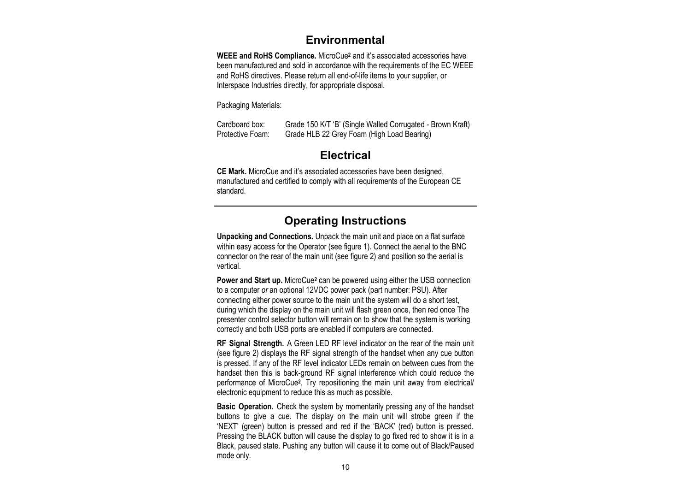#### **Environmental**

**WEEE and RoHS Compliance.** MicroCue**<sup>2</sup>** and it's associated accessories have been manufactured and sold in accordance with the requirements of the EC WEEE and RoHS directives. Please return all end-of-life items to your supplier, or Interspace Industries directly, for appropriate disposal.

Packaging Materials:

Cardboard box: Grade 150 K/T 'B' (Single Walled Corrugated - Brown Kraft) Protective Foam: Grade HLB 22 Grey Foam (High Load Bearing)

## **Electrical**

**CE Mark.** MicroCue and it's associated accessories have been designed, manufactured and certified to comply with all requirements of the European CE standard.

# **Operating Instructions**

**Unpacking and Connections.** Unpack the main unit and place on a flat surface within easy access for the Operator (see figure 1). Connect the aerial to the BNC connector on the rear of the main unit (see figure 2) and position so the aerial is vertical.

**Power and Start up.** MicroCue**<sup>2</sup>** can be powered using either the USB connection to a computer *or* an optional 12VDC power pack (part number: PSU). After connecting either power source to the main unit the system will do a short test, during which the display on the main unit will flash green once, then red once The presenter control selector button will remain on to show that the system is working correctly and both USB ports are enabled if computers are connected.

**RF Signal Strength.** A Green LED RF level indicator on the rear of the main unit (see figure 2) displays the RF signal strength of the handset when any cue button is pressed. If any of the RF level indicator LEDs remain on between cues from the handset then this is back-ground RF signal interference which could reduce the performance of MicroCue**<sup>2</sup>** . Try repositioning the main unit away from electrical/ electronic equipment to reduce this as much as possible.

**Basic Operation.** Check the system by momentarily pressing any of the handset buttons to give a cue. The display on the main unit will strobe green if the 'NEXT' (green) button is pressed and red if the 'BACK' (red) button is pressed. Pressing the BLACK button will cause the display to go fixed red to show it is in a Black, paused state. Pushing any button will cause it to come out of Black/Paused mode only.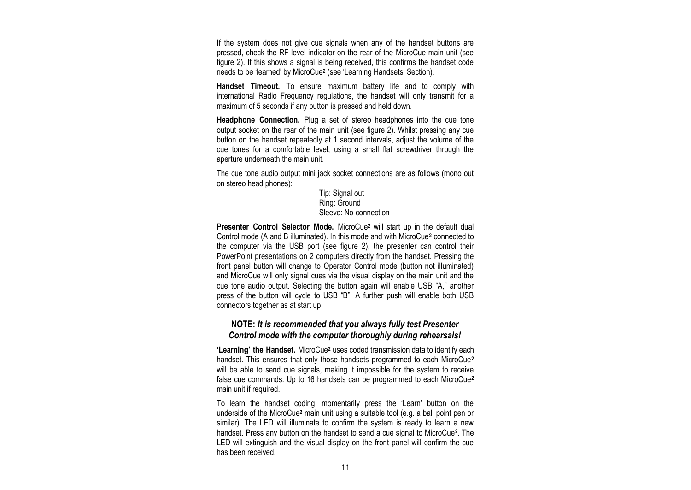If the system does not give cue signals when any of the handset buttons are pressed, check the RF level indicator on the rear of the MicroCue main unit (see figure 2). If this shows a signal is being received, this confirms the handset code needs to be 'learned' by MicroCue**<sup>2</sup>** (see 'Learning Handsets' Section).

**Handset Timeout.** To ensure maximum battery life and to comply with international Radio Frequency regulations, the handset will only transmit for a maximum of 5 seconds if any button is pressed and held down.

**Headphone Connection.** Plug a set of stereo headphones into the cue tone output socket on the rear of the main unit (see figure 2). Whilst pressing any cue button on the handset repeatedly at 1 second intervals, adjust the volume of the cue tones for a comfortable level, using a small flat screwdriver through the aperture underneath the main unit.

The cue tone audio output mini jack socket connections are as follows (mono out on stereo head phones):

#### Tip: Signal out Ring: Ground Sleeve: No-connection

**Presenter Control Selector Mode.** MicroCue**<sup>2</sup>** will start up in the default dual Control mode (A and B illuminated). In this mode and with MicroCue**<sup>2</sup>** connected to the computer via the USB port (see figure 2), the presenter can control their PowerPoint presentations on 2 computers directly from the handset. Pressing the front panel button will change to Operator Control mode (button not illuminated) and MicroCue will only signal cues via the visual display on the main unit and the cue tone audio output. Selecting the button again will enable USB "A," another press of the button will cycle to USB "B". A further push will enable both USB connectors together as at start up

#### **NOTE:** *It is recommended that you always fully test Presenter Control mode with the computer thoroughly during rehearsals!*

**'Learning' the Handset.** MicroCue**<sup>2</sup>** uses coded transmission data to identify each handset. This ensures that only those handsets programmed to each MicroCue**<sup>2</sup>** will be able to send cue signals, making it impossible for the system to receive false cue commands. Up to 16 handsets can be programmed to each MicroCue**<sup>2</sup>** main unit if required.

To learn the handset coding, momentarily press the 'Learn' button on the underside of the MicroCue**<sup>2</sup>** main unit using a suitable tool (e.g. a ball point pen or similar). The LED will illuminate to confirm the system is ready to learn a new handset. Press any button on the handset to send a cue signal to MicroCue**<sup>2</sup>** . The LED will extinguish and the visual display on the front panel will confirm the cue has been received.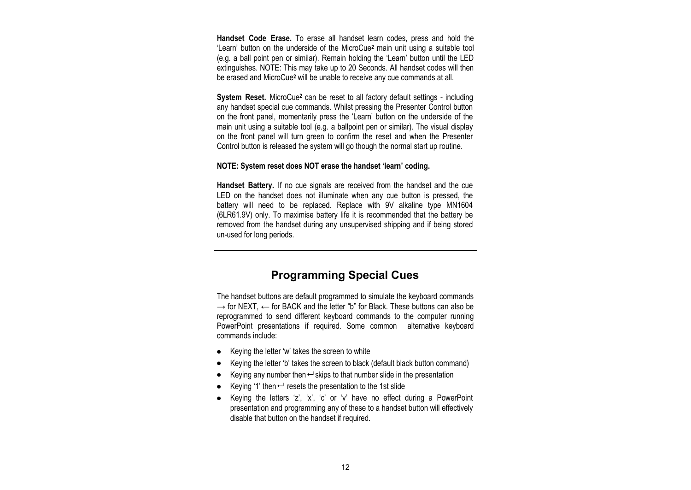**Handset Code Erase.** To erase all handset learn codes, press and hold the 'Learn' button on the underside of the MicroCue**<sup>2</sup>** main unit using a suitable tool (e.g. a ball point pen or similar). Remain holding the 'Learn' button until the LED extinguishes. NOTE: This may take up to 20 Seconds. All handset codes will then be erased and MicroCue**<sup>2</sup>** will be unable to receive any cue commands at all.

**System Reset.** MicroCue**<sup>2</sup>** can be reset to all factory default settings - including any handset special cue commands. Whilst pressing the Presenter Control button on the front panel, momentarily press the 'Learn' button on the underside of the main unit using a suitable tool (e.g. a ballpoint pen or similar). The visual display on the front panel will turn green to confirm the reset and when the Presenter Control button is released the system will go though the normal start up routine.

#### **NOTE: System reset does NOT erase the handset 'learn' coding.**

**Handset Battery.** If no cue signals are received from the handset and the cue LED on the handset does not illuminate when any cue button is pressed, the battery will need to be replaced. Replace with 9V alkaline type MN1604 (6LR61.9V) only. To maximise battery life it is recommended that the battery be removed from the handset during any unsupervised shipping and if being stored un-used for long periods.

#### **Programming Special Cues**

The handset buttons are default programmed to simulate the keyboard commands  $\rightarrow$  for NEXT,  $\leftarrow$  for BACK and the letter "b" for Black. These buttons can also be reprogrammed to send different keyboard commands to the computer running PowerPoint presentations if required. Some common alternative keyboard commands include:

- Keying the letter 'w' takes the screen to white  $\bullet$
- Keying the letter 'b' takes the screen to black (default black button command)  $\bullet$
- Keying any number then  $\leftarrow$  skips to that number slide in the presentation  $\bullet$
- Keying '1' then  $\leftarrow$  resets the presentation to the 1st slide
- Keying the letters 'z', 'x', 'c' or 'v' have no effect during a PowerPoint presentation and programming any of these to a handset button will effectively disable that button on the handset if required.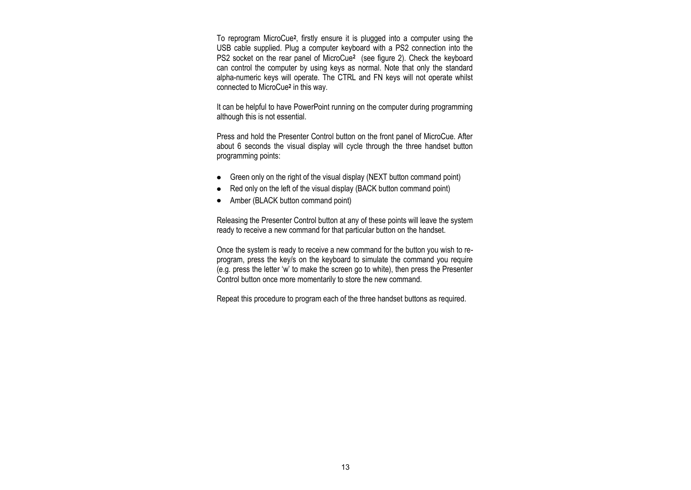To reprogram MicroCue**<sup>2</sup>** , firstly ensure it is plugged into a computer using the USB cable supplied. Plug a computer keyboard with a PS2 connection into the PS2 socket on the rear panel of MicroCue**<sup>2</sup>** (see figure 2). Check the keyboard can control the computer by using keys as normal. Note that only the standard alpha-numeric keys will operate. The CTRL and FN keys will not operate whilst connected to MicroCue**<sup>2</sup>** in this way.

It can be helpful to have PowerPoint running on the computer during programming although this is not essential.

Press and hold the Presenter Control button on the front panel of MicroCue. After about 6 seconds the visual display will cycle through the three handset button programming points:

- Green only on the right of the visual display (NEXT button command point)
- Red only on the left of the visual display (BACK button command point)  $\bullet$
- Amber (BLACK button command point)  $\bullet$

Releasing the Presenter Control button at any of these points will leave the system ready to receive a new command for that particular button on the handset.

Once the system is ready to receive a new command for the button you wish to reprogram, press the key/s on the keyboard to simulate the command you require (e.g. press the letter 'w' to make the screen go to white), then press the Presenter Control button once more momentarily to store the new command.

Repeat this procedure to program each of the three handset buttons as required.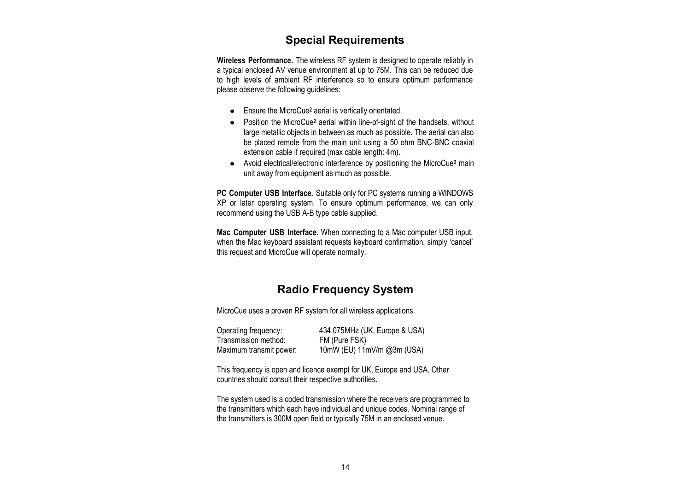# **Special Requirements**

**Wireless Performance.** The wireless RF system is designed to operate reliably in a typical enclosed AV venue environment at up to 75M. This can be reduced due to high levels of ambient RF interference so to ensure optimum performance please observe the following guidelines:

- Ensure the MicroCue**<sup>2</sup>** aerial is vertically orientated.
- Position the MicroCue**<sup>2</sup>** aerial within line-of-sight of the handsets, without large metallic objects in between as much as possible. The aerial can also be placed remote from the main unit using a 50 ohm BNC-BNC coaxial extension cable if required (max cable length: 4m).
- Avoid electrical/electronic interference by positioning the MicroCue**<sup>2</sup>** main unit away from equipment as much as possible.

**PC Computer USB Interface.** Suitable only for PC systems running a WINDOWS XP or later operating system. To ensure optimum performance, we can only recommend using the USB A-B type cable supplied.

**Mac Computer USB Interface.** When connecting to a Mac computer USB input, when the Mac keyboard assistant requests keyboard confirmation, simply 'cancel' this request and MicroCue will operate normally.

## **Radio Frequency System**

MicroCue uses a proven RF system for all wireless applications.

| Operating frequency:    | 434.075MHz (UK, Europe & USA) |
|-------------------------|-------------------------------|
| Transmission method:    | FM (Pure FSK)                 |
| Maximum transmit power: | 10mW (EU) 11mV/m @3m (USA)    |

This frequency is open and licence exempt for UK, Europe and USA. Other countries should consult their respective authorities.

The system used is a coded transmission where the receivers are programmed to the transmitters which each have individual and unique codes. Nominal range of the transmitters is 300M open field or typically 75M in an enclosed venue.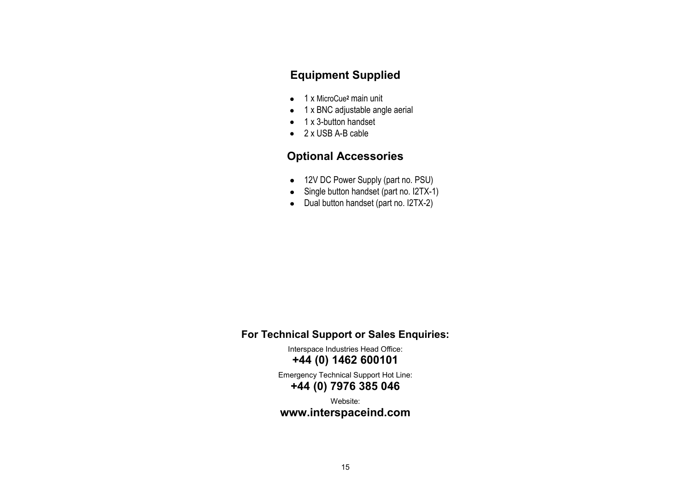# **Equipment Supplied**

- 1 x MicroCue**<sup>2</sup>** main unit
- 1 x BNC adjustable angle aerial
- $\bullet$  1 x 3-button handset
- 2 x USB A-B cable

# **Optional Accessories**

- 12V DC Power Supply (part no. PSU)
- Single button handset (part no. I2TX-1)
- Dual button handset (part no. I2TX-2)

## **For Technical Support or Sales Enquiries:**

Interspace Industries Head Office: **+44 (0) 1462 600101**

Emergency Technical Support Hot Line: **+44 (0) 7976 385 046**

Website:

## **www.interspaceind.com**